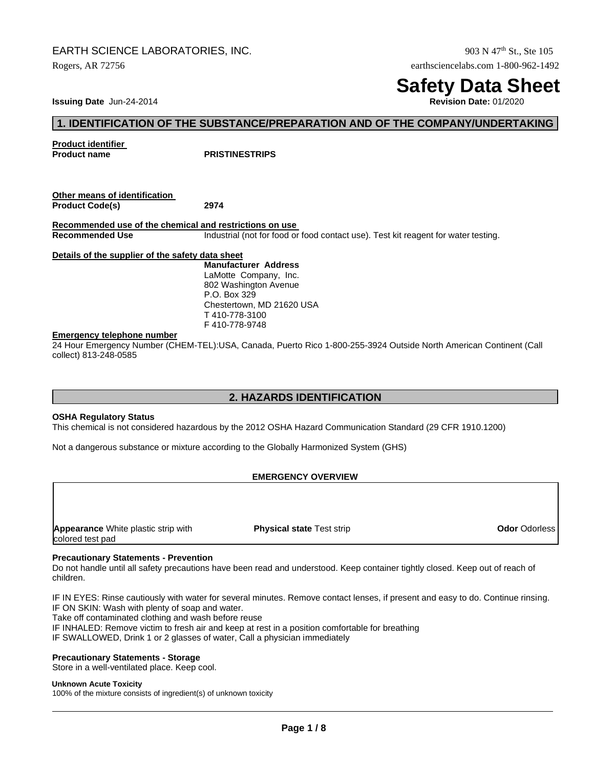# EARTH SCIENCE LABORATORIES, INC.  $903 \text{ N } 47^{\text{th}}$  St., Ste 105

Rogers, AR 72756 earthsciencelabs.com 1-800-962-1492

# **Safety Data Sheet**

**Issuing Date** Jun-24-2014

# **1. IDENTIFICATION OF THE SUBSTANCE/PREPARATION AND OF THE COMPANY/UNDERTAKING**

**Product identifier** 

**PRISTINESTRIPS** 

**Other means of identification Product Code(s) 2974**

**Recommended use of the chemical and restrictions on use Recommended Use** Industrial (not for food or food contact use). Test kit reagent for water testing.

## **Details of the supplier of the safety data sheet**

**Manufacturer Address**  LaMotte Company, Inc. 802 Washington Avenue P.O. Box 329 Chestertown, MD 21620 USA T 410-778-3100 F 410-778-9748

## **Emergency telephone number**

24 Hour Emergency Number (CHEM-TEL):USA, Canada, Puerto Rico 1-800-255-3924 Outside North American Continent (Call collect) 813-248-0585

# **2. HAZARDS IDENTIFICATION**

## **OSHA Regulatory Status**

This chemical is not considered hazardous by the 2012 OSHA Hazard Communication Standard (29 CFR 1910.1200)

Not a dangerous substance or mixture according to the Globally Harmonized System (GHS)

## **EMERGENCY OVERVIEW**

**Appearance** White plastic strip with **Physical state** Test strip **Odor** Odorless colored test pad

## **Precautionary Statements - Prevention**

Do not handle until all safety precautions have been read and understood. Keep container tightly closed. Keep out of reach of children.

IF IN EYES: Rinse cautiously with water for several minutes. Remove contact lenses, if present and easy to do. Continue rinsing. IF ON SKIN: Wash with plenty of soap and water.

Take off contaminated clothing and wash before reuse

IF INHALED: Remove victim to fresh air and keep at rest in a position comfortable for breathing

IF SWALLOWED, Drink 1 or 2 glasses of water, Call a physician immediately

## **Precautionary Statements - Storage**

Store in a well-ventilated place. Keep cool.

#### **Unknown Acute Toxicity**

100% of the mixture consists of ingredient(s) of unknown toxicity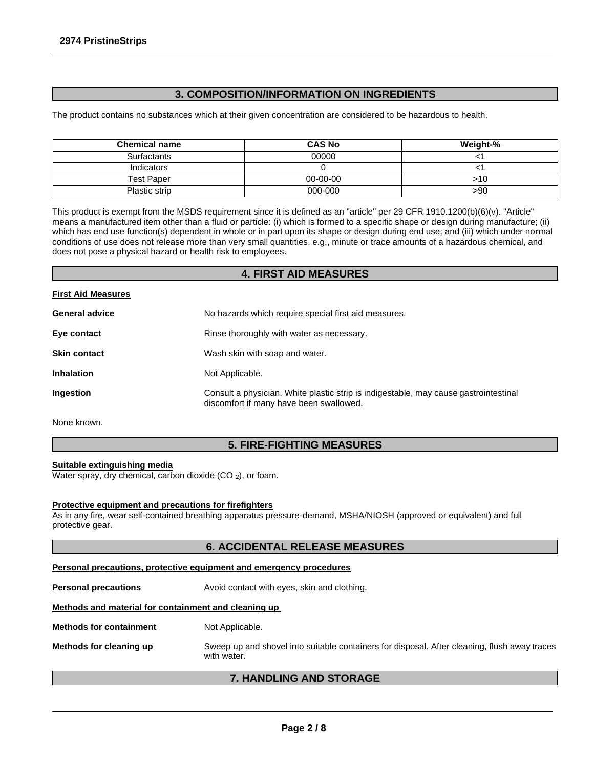# **3. COMPOSITION/INFORMATION ON INGREDIENTS**

The product contains no substances which at their given concentration are considered to be hazardous to health.

| <b>Chemical name</b> | <b>CAS No</b>  | Weight-% |
|----------------------|----------------|----------|
| <b>Surfactants</b>   | 00000          |          |
| Indicators           |                |          |
| Test Paper           | $00 - 00 - 00$ | >10      |
| Plastic strip        | 000-000        | >90      |

This product is exempt from the MSDS requirement since it is defined as an "article" per 29 CFR 1910.1200(b)(6)(v). "Article" means a manufactured item other than a fluid or particle: (i) which is formed to a specific shape or design during manufacture; (ii) which has end use function(s) dependent in whole or in part upon its shape or design during end use; and (iii) which under normal conditions of use does not release more than very small quantities, e.g., minute or trace amounts of a hazardous chemical, and does not pose a physical hazard or health risk to employees.

## **4. FIRST AID MEASURES**

## **First Aid Measures**

| <b>General advice</b> | No hazards which require special first aid measures.                                                                            |
|-----------------------|---------------------------------------------------------------------------------------------------------------------------------|
| Eye contact           | Rinse thoroughly with water as necessary.                                                                                       |
| <b>Skin contact</b>   | Wash skin with soap and water.                                                                                                  |
| <b>Inhalation</b>     | Not Applicable.                                                                                                                 |
| Ingestion             | Consult a physician. White plastic strip is indigestable, may cause gastrointestinal<br>discomfort if many have been swallowed. |

None known.

# **5. FIRE-FIGHTING MEASURES**

## **Suitable extinguishing media**

Water spray, dry chemical, carbon dioxide  $(CO_2)$ , or foam.

## **Protective equipment and precautions for firefighters**

As in any fire, wear self-contained breathing apparatus pressure-demand, MSHA/NIOSH (approved or equivalent) and full protective gear.

# **6. ACCIDENTAL RELEASE MEASURES**

# **Personal precautions, protective equipment and emergency procedures**

**Personal precautions** Avoid contact with eyes, skin and clothing.

# **Methods and material for containment and cleaning up**

**Methods for containment** Not Applicable.

**Methods for cleaning up** Sweep up and shovel into suitable containers for disposal. After cleaning, flush away traces with water.

## **7. HANDLING AND STORAGE**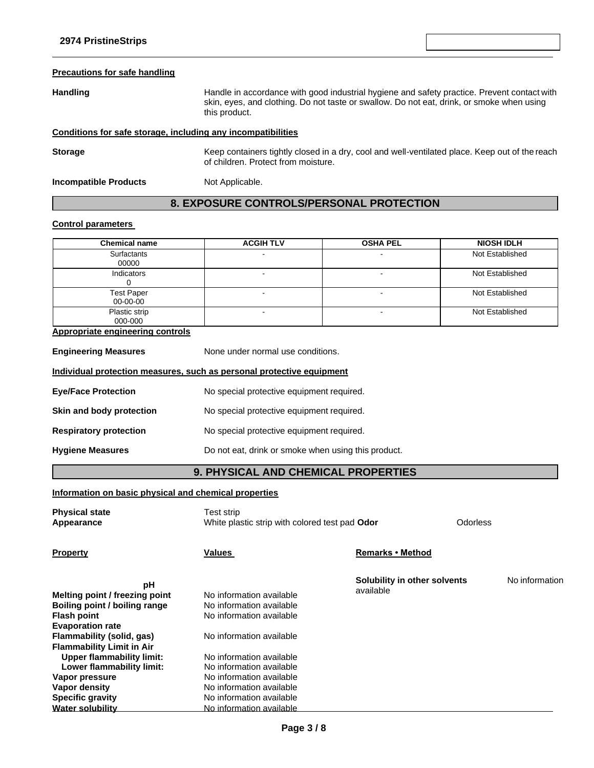| <b>Precautions for safe handling</b> |                                                                                                                                                                                                           |
|--------------------------------------|-----------------------------------------------------------------------------------------------------------------------------------------------------------------------------------------------------------|
| <b>Handling</b>                      | Handle in accordance with good industrial hygiene and safety practice. Prevent contact with<br>skin, eyes, and clothing. Do not taste or swallow. Do not eat, drink, or smoke when using<br>this product. |
|                                      | Conditions for safe storage, including any incompatibilities                                                                                                                                              |
| <b>Storage</b>                       | Keep containers tightly closed in a dry, cool and well-ventilated place. Keep out of the reach<br>of children. Protect from moisture.                                                                     |
| <b>Incompatible Products</b>         | Not Applicable.                                                                                                                                                                                           |
|                                      | 8. EXPOSURE CONTROLS/PERSONAL PROTECTION                                                                                                                                                                  |

# **Control parameters**

| <b>Chemical name</b>                                                  | <b>ACGIH TLV</b>                                             | <b>OSHA PEL</b>                           |          | <b>NIOSH IDLH</b> |
|-----------------------------------------------------------------------|--------------------------------------------------------------|-------------------------------------------|----------|-------------------|
| Surfactants<br>00000                                                  |                                                              |                                           |          | Not Established   |
| Indicators<br>0                                                       |                                                              | ÷.                                        |          | Not Established   |
| <b>Test Paper</b><br>00-00-00                                         |                                                              | $\ddot{\phantom{a}}$                      |          | Not Established   |
| Plastic strip<br>000-000                                              |                                                              |                                           |          | Not Established   |
| <b>Appropriate engineering controls</b>                               |                                                              |                                           |          |                   |
| <b>Engineering Measures</b>                                           | None under normal use conditions.                            |                                           |          |                   |
| Individual protection measures, such as personal protective equipment |                                                              |                                           |          |                   |
| <b>Eye/Face Protection</b>                                            | No special protective equipment required.                    |                                           |          |                   |
| Skin and body protection                                              | No special protective equipment required.                    |                                           |          |                   |
| <b>Respiratory protection</b>                                         | No special protective equipment required.                    |                                           |          |                   |
| <b>Hygiene Measures</b>                                               | Do not eat, drink or smoke when using this product.          |                                           |          |                   |
|                                                                       | 9. PHYSICAL AND CHEMICAL PROPERTIES                          |                                           |          |                   |
| Information on basic physical and chemical properties                 |                                                              |                                           |          |                   |
| <b>Physical state</b><br>Appearance                                   | Test strip<br>White plastic strip with colored test pad Odor |                                           | Odorless |                   |
| <b>Property</b>                                                       | Values                                                       | Remarks . Method                          |          |                   |
| рH                                                                    |                                                              | Solubility in other solvents<br>available |          | No information    |
| Melting point / freezing point                                        | No information available                                     |                                           |          |                   |
| Boiling point / boiling range                                         | No information available                                     |                                           |          |                   |
| <b>Flash point</b><br><b>Evaporation rate</b>                         | No information available                                     |                                           |          |                   |
| <b>Flammability (solid, gas)</b>                                      | No information available                                     |                                           |          |                   |
| <b>Flammability Limit in Air</b>                                      |                                                              |                                           |          |                   |
| <b>Upper flammability limit:</b>                                      | No information available                                     |                                           |          |                   |
| Lower flammability limit:                                             | No information available                                     |                                           |          |                   |
| Vapor pressure                                                        | No information available                                     |                                           |          |                   |
| <b>Vapor density</b>                                                  | No information available                                     |                                           |          |                   |
| <b>Specific gravity</b>                                               | No information available                                     |                                           |          |                   |
| <b>Water solubility</b>                                               | No information available                                     |                                           |          |                   |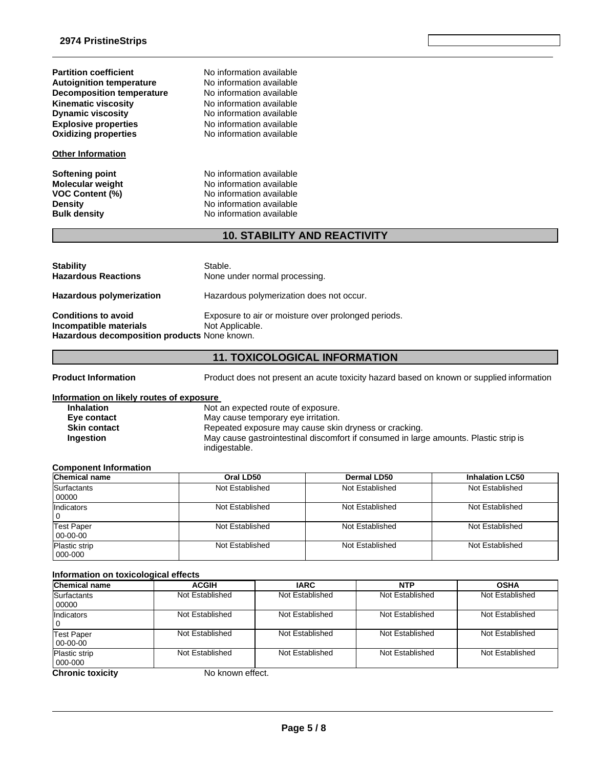**Partition coefficient No information available**<br> **Autoignition temperature No information available Autoignition temperature No information available**<br> **Decomposition temperature No information available Decomposition** temperature **Kinematic viscosity**<br> **Communical Communist Communist Communist Communist Communist Communist Communist Communist Communist Communist Communist Communist Communist Communist Communist Communist Communist Communist Communi Explosive properties**<br> **Oxidizing properties**<br>
No information available<br>
No information available

## **Other Information**

**No information available No information available** 

**Softening point**<br> **Molecular weight**<br> **Molecular weight**<br> **Molecular weight**<br> **Molecular weight No information available VOC Content (%)**<br> **Content (%)**<br>
No information available<br>
No information available **Density Density Density Bulk density Research American** No information available **No information available** 

# **10. STABILITY AND REACTIVITY**

| <b>Stability</b><br><b>Hazardous Reactions</b>                                                       | Stable.<br>None under normal processing.                               |
|------------------------------------------------------------------------------------------------------|------------------------------------------------------------------------|
| <b>Hazardous polymerization</b>                                                                      | Hazardous polymerization does not occur.                               |
| <b>Conditions to avoid</b><br>Incompatible materials<br>Hazardous decomposition products None known. | Exposure to air or moisture over prolonged periods.<br>Not Applicable. |

# **11. TOXICOLOGICAL INFORMATION**

**Product Information** Product does not present an acute toxicity hazard based on known or supplied information

#### **Information on likely routes of exposure**

| <b>Inhalation</b>   | Not an expected route of exposure.                                                   |
|---------------------|--------------------------------------------------------------------------------------|
| Eye contact         | May cause temporary eye irritation.                                                  |
| <b>Skin contact</b> | Repeated exposure may cause skin dryness or cracking.                                |
| <b>Ingestion</b>    | May cause gastrointestinal discomfort if consumed in large amounts. Plastic strip is |
|                     | indigestable.                                                                        |

## **Component Information**

| <b>Chemical name</b>                                   | Oral LD50       | Dermal LD50     | <b>Inhalation LC50</b> |
|--------------------------------------------------------|-----------------|-----------------|------------------------|
| Surfactants<br>00000                                   | Not Established | Not Established | Not Established        |
| Indicators<br>l O                                      | Not Established | Not Established | Not Established        |
| Not Established<br><b>Test Paper</b><br>$00 - 00 - 00$ |                 | Not Established | Not Established        |
| <b>Plastic strip</b><br>$000 - 000$                    | Not Established | Not Established | Not Established        |

## **Information on toxicological effects**

| <b>Chemical name</b>                | <b>ACGIH</b>    | <b>IARC</b>     | <b>NTP</b>      | <b>OSHA</b>     |
|-------------------------------------|-----------------|-----------------|-----------------|-----------------|
| Surfactants<br>00000                | Not Established | Not Established | Not Established | Not Established |
| Indicators                          | Not Established | Not Established | Not Established | Not Established |
| <b>Test Paper</b><br>$00 - 00 - 00$ | Not Established | Not Established | Not Established | Not Established |
| <b>Plastic strip</b><br>000-000     | Not Established | Not Established | Not Established | Not Established |
| Chronic toxicity                    | No known affact |                 |                 |                 |

**Chronic toxicity** No known effect.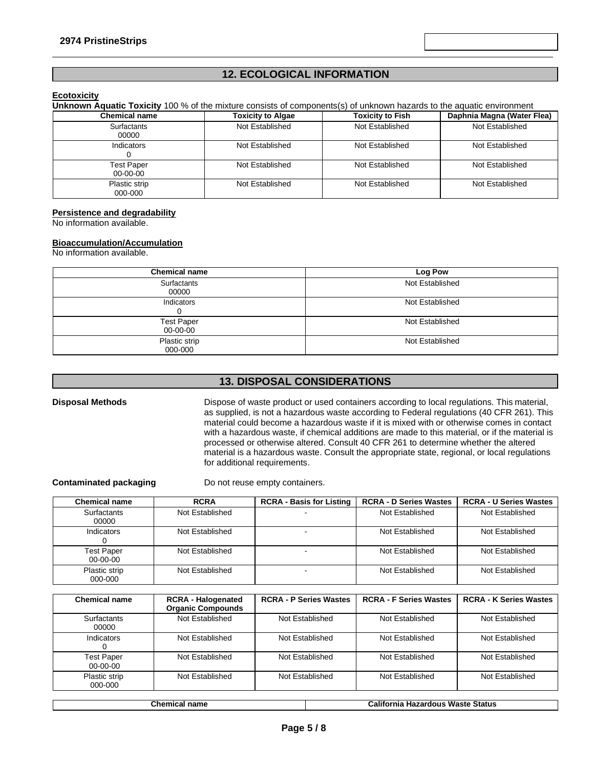# **12. ECOLOGICAL INFORMATION**

**Revision Date** May-29-2015

## **Ecotoxicity**

**Unknown Aquatic Toxicity** 100 % of the mixture consists of components(s) of unknown hazards to the aquatic environment

| <b>Chemical name</b>                | <b>Toxicity to Algae</b> | <b>Toxicity to Fish</b> | Daphnia Magna (Water Flea) |
|-------------------------------------|--------------------------|-------------------------|----------------------------|
| Surfactants<br>00000                | Not Established          | Not Established         | Not Established            |
| Indicators                          | Not Established          | Not Established         | Not Established            |
| <b>Test Paper</b><br>$00 - 00 - 00$ | Not Established          | Not Established         | Not Established            |
| Plastic strip<br>000-000            | Not Established          | Not Established         | Not Established            |

## **Persistence and degradability**

No information available.

## **Bioaccumulation/Accumulation**

No information available.

| <b>Chemical name</b>          | <b>Log Pow</b>  |
|-------------------------------|-----------------|
| Surfactants<br>00000          | Not Established |
| Indicators                    | Not Established |
| <b>Test Paper</b><br>00-00-00 | Not Established |
| Plastic strip<br>000-000      | Not Established |

# **13. DISPOSAL CONSIDERATIONS**

**Disposal Methods** Dispose of waste product or used containers according to local regulations. This material, as supplied, is not a hazardous waste according to Federal regulations (40 CFR 261). This material could become a hazardous waste if it is mixed with or otherwise comes in contact with a hazardous waste, if chemical additions are made to this material, or if the material is processed or otherwise altered. Consult 40 CFR 261 to determine whether the altered material is a hazardous waste. Consult the appropriate state, regional, or local regulations for additional requirements.

**Contaminated packaging** Do not reuse empty containers.

| <b>Chemical name</b>                | <b>RCRA</b>     | <b>RCRA - Basis for Listing</b> | <b>RCRA - D Series Wastes</b> | <b>RCRA - U Series Wastes</b> |
|-------------------------------------|-----------------|---------------------------------|-------------------------------|-------------------------------|
| Surfactants<br>00000                | Not Established |                                 | Not Established               | Not Established               |
| Indicators                          | Not Established |                                 | Not Established               | Not Established               |
| <b>Test Paper</b><br>$00 - 00 - 00$ | Not Established |                                 | Not Established               | Not Established               |
| Plastic strip<br>000-000            | Not Established |                                 | Not Established               | Not Established               |

| <b>Chemical name</b>            | <b>RCRA - Halogenated</b><br><b>Organic Compounds</b> | <b>RCRA - P Series Wastes</b> | <b>RCRA - F Series Wastes</b> | <b>RCRA - K Series Wastes</b> |
|---------------------------------|-------------------------------------------------------|-------------------------------|-------------------------------|-------------------------------|
| <b>Surfactants</b><br>00000     | Not Established                                       | Not Established               | Not Established               | Not Established               |
| Indicators                      | Not Established                                       | Not Established               | Not Established               | Not Established               |
| <b>Test Paper</b><br>$00-00-00$ | Not Established                                       | Not Established               | Not Established               | Not Established               |
| Plastic strip<br>000-000        | Not Established                                       | Not Established               | Not Established               | Not Established               |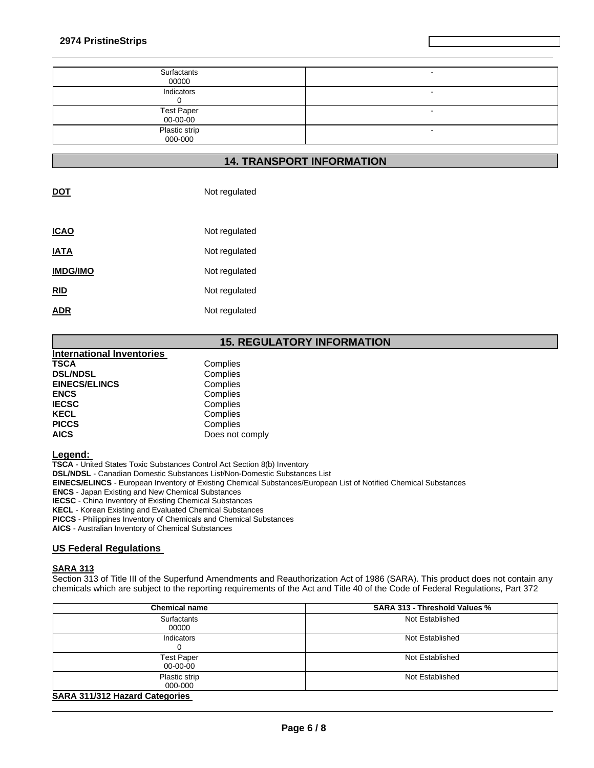| Surfactants<br>00000          |  |
|-------------------------------|--|
| Indicators                    |  |
| <b>Test Paper</b><br>00-00-00 |  |
| Plastic strip<br>000-000      |  |

**Revision Date** May-29-2015

# **14. TRANSPORT INFORMATION**

| DOT             | Not regulated |
|-----------------|---------------|
| <b>ICAO</b>     | Not regulated |
|                 |               |
| <b>IATA</b>     | Not regulated |
| <b>IMDG/IMO</b> | Not regulated |
| <b>RID</b>      | Not regulated |
| ADR             | Not regulated |

# **15. REGULATORY INFORMATION**

| <b>International Inventories</b> |                 |
|----------------------------------|-----------------|
| <b>TSCA</b>                      | Complies        |
| <b>DSL/NDSL</b>                  | Complies        |
| <b>EINECS/ELINCS</b>             | Complies        |
| <b>ENCS</b>                      | Complies        |
| <b>IECSC</b>                     | Complies        |
| <b>KECL</b>                      | Complies        |
| <b>PICCS</b>                     | Complies        |
| <b>AICS</b>                      | Does not comply |

#### **Legend:**

**TSCA** - United States Toxic Substances Control Act Section 8(b) Inventory **DSL/NDSL** - Canadian Domestic Substances List/Non-Domestic Substances List **EINECS/ELINCS** - European Inventory of Existing Chemical Substances/European List of Notified Chemical Substances **ENCS** - Japan Existing and New Chemical Substances **IECSC** - China Inventory of Existing Chemical Substances **KECL** - Korean Existing and Evaluated Chemical Substances **PICCS** - Philippines Inventory of Chemicals and Chemical Substances

**AICS** - Australian Inventory of Chemical Substances

## **US Federal Regulations**

## **SARA 313**

Section 313 of Title III of the Superfund Amendments and Reauthorization Act of 1986 (SARA). This product does not contain any chemicals which are subject to the reporting requirements of the Act and Title 40 of the Code of Federal Regulations, Part 372

| <b>Chemical name</b>           | <b>SARA 313 - Threshold Values %</b> |
|--------------------------------|--------------------------------------|
| Surfactants<br>00000           | Not Established                      |
| Indicators                     | Not Established                      |
| <b>Test Paper</b><br>00-00-00  | Not Established                      |
| Plastic strip<br>000-000       | Not Established                      |
| CADA 244/242 Hozard Catogoriac |                                      |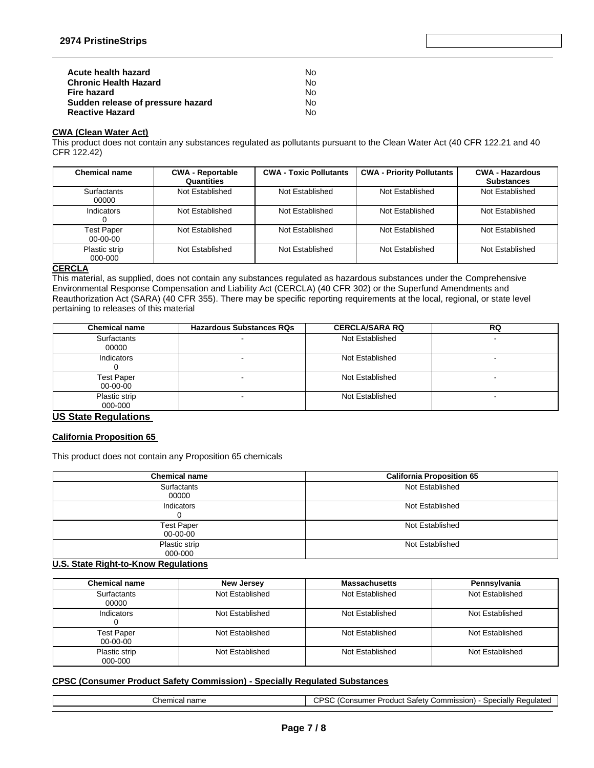| Acute health hazard               | N٥ |
|-----------------------------------|----|
| <b>Chronic Health Hazard</b>      | N٥ |
| Fire hazard                       | N٥ |
| Sudden release of pressure hazard | N٥ |
| <b>Reactive Hazard</b>            | N٥ |

## **CWA (Clean Water Act)**

This product does not contain any substances regulated as pollutants pursuant to the Clean Water Act (40 CFR 122.21 and 40 CFR 122.42)

| <b>Chemical name</b>            | <b>CWA - Reportable</b><br>Quantities | <b>CWA - Toxic Pollutants</b> | <b>CWA - Priority Pollutants</b> | <b>CWA - Hazardous</b><br><b>Substances</b> |
|---------------------------------|---------------------------------------|-------------------------------|----------------------------------|---------------------------------------------|
| Surfactants<br>00000            | Not Established                       | Not Established               | Not Established                  | Not Established                             |
| Indicators                      | Not Established                       | Not Established               | Not Established                  | Not Established                             |
| <b>Test Paper</b><br>$00-00-00$ | Not Established                       | Not Established               | Not Established                  | Not Established                             |
| Plastic strip<br>000-000        | Not Established                       | Not Established               | Not Established                  | Not Established                             |

## **CERCLA**

This material, as supplied, does not contain any substances regulated as hazardous substances under the Comprehensive Environmental Response Compensation and Liability Act (CERCLA) (40 CFR 302) or the Superfund Amendments and Reauthorization Act (SARA) (40 CFR 355). There may be specific reporting requirements at the local, regional, or state level pertaining to releases of this material

| <b>Chemical name</b>          | <b>Hazardous Substances RQs</b> | <b>CERCLA/SARA RQ</b> | <b>RQ</b> |
|-------------------------------|---------------------------------|-----------------------|-----------|
| <b>Surfactants</b><br>00000   |                                 | Not Established       |           |
| Indicators                    |                                 | Not Established       |           |
| <b>Test Paper</b><br>00-00-00 |                                 | Not Established       |           |
| Plastic strip<br>000-000      |                                 | Not Established       |           |

**US State Regulations** 

## **California Proposition 65**

This product does not contain any Proposition 65 chemicals

| <b>Chemical name</b>          | <b>California Proposition 65</b> |
|-------------------------------|----------------------------------|
| <b>Surfactants</b><br>00000   | Not Established                  |
| Indicators                    | Not Established                  |
| <b>Test Paper</b><br>00-00-00 | Not Established                  |
| Plastic strip<br>000-000      | Not Established                  |

## **U.S. State Right-to-Know Regulations**

| <b>Chemical name</b>            | New Jersey      | <b>Massachusetts</b> | Pennsylvania    |
|---------------------------------|-----------------|----------------------|-----------------|
| <b>Surfactants</b><br>00000     | Not Established | Not Established      | Not Established |
| Indicators                      | Not Established | Not Established      | Not Established |
| <b>Test Paper</b><br>$00-00-00$ | Not Established | Not Established      | Not Established |
| Plastic strip<br>000-000        | Not Established | Not Established      | Not Established |

## **CPSC (Consumer Product Safety Commission) - Specially Regulated Substances**

| Chemical name |  |
|---------------|--|
|---------------|--|

CPSC (Consumer Product Safety Commission) - Specially Regulated